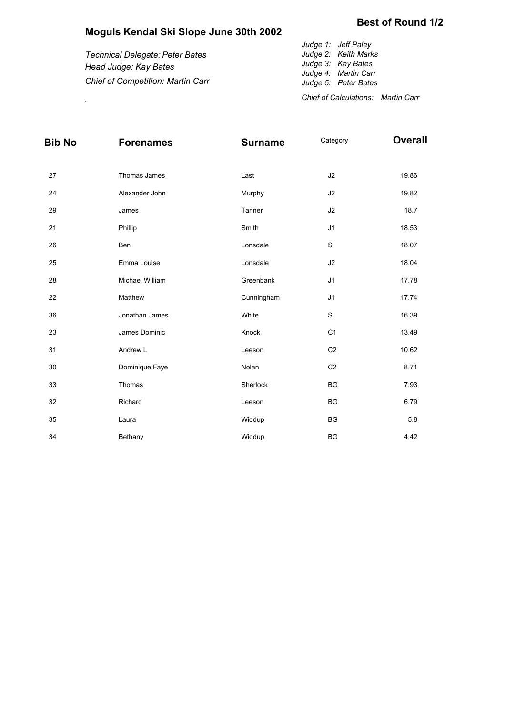## **Moguls Kendal Ski Slope June 30th 2002**

| <b>Chief of Competition: Martin Carr</b> | Judge 5: Peter Bates<br>Chief of Calculations: Martin Carr |
|------------------------------------------|------------------------------------------------------------|
| Head Judge: Kay Bates                    | Judge 3: Kay Bates<br>Judge 4: Martin Carr                 |
| Technical Delegate: Peter Bates          | Judge 1: Jeff Paley<br>Judge 2: Keith Marks                |

| Bib No | <b>Forenames</b> | <b>Surname</b> | Category       | <b>Overall</b> |
|--------|------------------|----------------|----------------|----------------|
| 27     | Thomas James     | Last           | J2             | 19.86          |
| 24     | Alexander John   | Murphy         | J2             | 19.82          |
| 29     | James            | Tanner         | J2             | 18.7           |
| 21     | Phillip          | Smith          | J <sub>1</sub> | 18.53          |
| 26     | Ben              | Lonsdale       | S              | 18.07          |
| 25     | Emma Louise      | Lonsdale       | J2             | 18.04          |
| 28     | Michael William  | Greenbank      | J <sub>1</sub> | 17.78          |
| 22     | Matthew          | Cunningham     | J <sub>1</sub> | 17.74          |
| 36     | Jonathan James   | White          | $\mathbf S$    | 16.39          |
| 23     | James Dominic    | Knock          | C <sub>1</sub> | 13.49          |
| 31     | Andrew L         | Leeson         | C <sub>2</sub> | 10.62          |
| 30     | Dominique Faye   | Nolan          | C <sub>2</sub> | 8.71           |
| 33     | Thomas           | Sherlock       | <b>BG</b>      | 7.93           |
| 32     | Richard          | Leeson         | <b>BG</b>      | 6.79           |
| 35     | Laura            | Widdup         | <b>BG</b>      | 5.8            |
| 34     | Bethany          | Widdup         | <b>BG</b>      | 4.42           |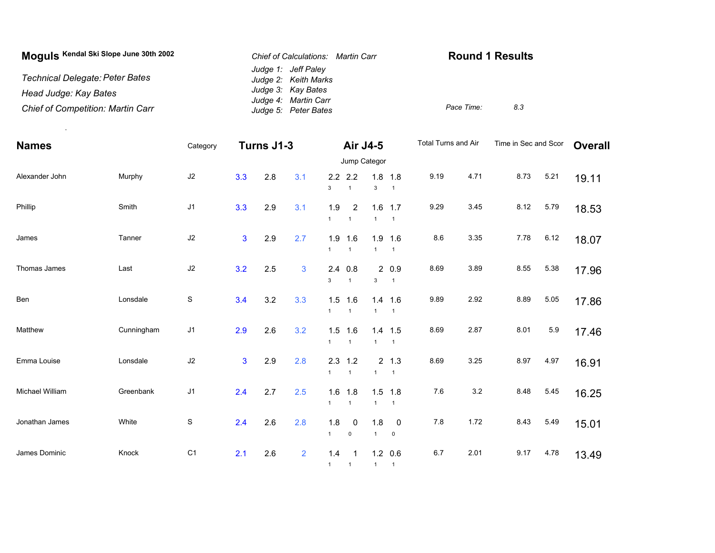| Moguls Kendal Ski Slope June 30th 2002   | Chief of Calculations: Martin Carr           | <b>Round 1 Results</b> |     |
|------------------------------------------|----------------------------------------------|------------------------|-----|
| Technical Delegate: Peter Bates          | Judge 1: Jeff Paley<br>Judge 2: Keith Marks  |                        |     |
| Head Judge: Kay Bates                    | Judge 3: Kay Bates                           |                        |     |
| <b>Chief of Competition: Martin Carr</b> | Judge 4: Martin Carr<br>Judge 5: Peter Bates | Pace Time:             | 8.3 |

.

| <b>Names</b>    |            | Category       | Turns J1-3     |     |                | Air J4-5            |                             |                     | Total Turns and Air                   |         | Time in Sec and Scor |      | <b>Overall</b> |       |
|-----------------|------------|----------------|----------------|-----|----------------|---------------------|-----------------------------|---------------------|---------------------------------------|---------|----------------------|------|----------------|-------|
|                 |            |                |                |     |                |                     | Jump Categor                |                     |                                       |         |                      |      |                |       |
| Alexander John  | Murphy     | J2             | 3.3            | 2.8 | 3.1            | $\mathbf{3}$        | $2.2$ 2.2<br>$\overline{1}$ | $\mathbf{3}$        | $1.8$ 1.8<br>$\overline{1}$           | 9.19    | 4.71                 | 8.73 | 5.21           | 19.11 |
| Phillip         | Smith      | J <sub>1</sub> | 3.3            | 2.9 | 3.1            | 1.9<br>$\mathbf{1}$ | 2<br>$\overline{1}$         | 1.6<br>$\mathbf{1}$ | 1.7<br>$\overline{1}$                 | 9.29    | 3.45                 | 8.12 | 5.79           | 18.53 |
| James           | Tanner     | J2             | $\overline{3}$ | 2.9 | 2.7            | 1.9<br>$\mathbf{1}$ | 1.6<br>$\overline{1}$       | $\mathbf{1}$        | $1.9$ 1.6<br>$\overline{1}$           | 8.6     | 3.35                 | 7.78 | 6.12           | 18.07 |
| Thomas James    | Last       | $\sf J2$       | 3.2            | 2.5 | 3              | 2.4<br>3            | 0.8<br>$\overline{1}$       | 3                   | 20.9<br>$\overline{1}$                | 8.69    | 3.89                 | 8.55 | 5.38           | 17.96 |
| Ben             | Lonsdale   | $\mathbb S$    | 3.4            | 3.2 | 3.3            | $\mathbf{1}$        | $1.5$ 1.6<br>$\overline{1}$ | $\mathbf{1}$        | $1.4$ 1.6<br>$\overline{1}$           | 9.89    | 2.92                 | 8.89 | 5.05           | 17.86 |
| Matthew         | Cunningham | J <sub>1</sub> | 2.9            | 2.6 | 3.2            | $\mathbf{1}$        | $1.5$ 1.6<br>$\mathbf{1}$   | $\mathbf{1}$        | $1.4$ 1.5<br>$\overline{1}$           | 8.69    | 2.87                 | 8.01 | $5.9\,$        | 17.46 |
| Emma Louise     | Lonsdale   | $\sf J2$       | $\overline{3}$ | 2.9 | 2.8            | $\mathbf{1}$        | $2.3$ 1.2<br>$\overline{1}$ | $\mathbf{1}$        | $2 \t1.3$<br>$\overline{1}$           | 8.69    | 3.25                 | 8.97 | 4.97           | 16.91 |
| Michael William | Greenbank  | J <sub>1</sub> | 2.4            | 2.7 | 2.5            | 1.6<br>$\mathbf{1}$ | 1.8<br>$\mathbf{1}$         | $\mathbf{1}$        | $1.5$ 1.8<br>$\overline{1}$           | $7.6\,$ | 3.2                  | 8.48 | 5.45           | 16.25 |
| Jonathan James  | White      | S              | 2.4            | 2.6 | 2.8            | 1.8<br>$\mathbf{1}$ | $\overline{0}$<br>$\pmb{0}$ | 1.8<br>$\mathbf{1}$ | $\overline{\phantom{0}}$<br>$\pmb{0}$ | $7.8$   | 1.72                 | 8.43 | 5.49           | 15.01 |
| James Dominic   | Knock      | C <sub>1</sub> | 2.1            | 2.6 | $\overline{2}$ | 1.4<br>$\mathbf{1}$ | $\mathbf{1}$                | 1                   | $1.2 \quad 0.6$<br>$\overline{1}$     | 6.7     | 2.01                 | 9.17 | 4.78           | 13.49 |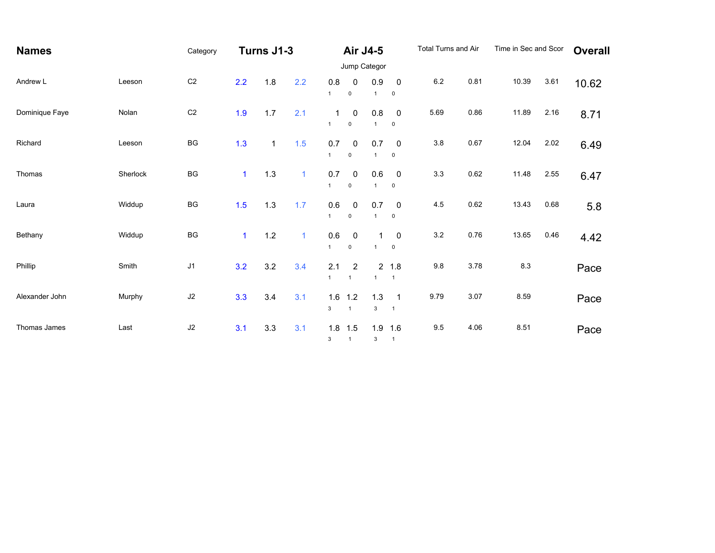| <b>Names</b>   |          | Category       | Turns J1-3   |              |              | Air J4-5                     |                               |                     | Total Turns and Air                   |         | Time in Sec and Scor |       | <b>Overall</b> |       |
|----------------|----------|----------------|--------------|--------------|--------------|------------------------------|-------------------------------|---------------------|---------------------------------------|---------|----------------------|-------|----------------|-------|
|                |          |                |              |              |              | Jump Categor                 |                               |                     |                                       |         |                      |       |                |       |
| Andrew L       | Leeson   | C <sub>2</sub> | 2.2          | 1.8          | 2.2          | 0.8<br>$\mathbf{1}$          | 0<br>$\mathsf 0$              | 0.9<br>$\mathbf{1}$ | $\mathbf 0$<br>$\mathbf 0$            | $6.2\,$ | 0.81                 | 10.39 | 3.61           | 10.62 |
| Dominique Faye | Nolan    | C <sub>2</sub> | 1.9          | 1.7          | 2.1          | $\mathbf{1}$<br>$\mathbf{1}$ | 0<br>$\pmb{0}$                | 0.8<br>1            | $\mathbf 0$<br>$\pmb{0}$              | 5.69    | 0.86                 | 11.89 | 2.16           | 8.71  |
| Richard        | Leeson   | BG             | 1.3          | $\mathbf{1}$ | 1.5          | 0.7<br>$\mathbf{1}$          | $\mathbf 0$<br>$\pmb{0}$      | 0.7                 | $\mathbf 0$<br>$\pmb{0}$              | $3.8\,$ | 0.67                 | 12.04 | 2.02           | 6.49  |
| Thomas         | Sherlock | BG             | $\mathbf{1}$ | $1.3$        | $\mathbf{1}$ | $0.7\,$<br>$\mathbf{1}$      | $\overline{0}$<br>$\pmb{0}$   | 0.6                 | $\overline{\phantom{0}}$<br>$\pmb{0}$ | 3.3     | 0.62                 | 11.48 | 2.55           | 6.47  |
| Laura          | Widdup   | BG             | 1.5          | $1.3$        | 1.7          | $0.6\,$<br>$\mathbf{1}$      | $\overline{0}$<br>$\mathbf 0$ | 0.7<br>$\mathbf{1}$ | $\mathbf 0$<br>$\pmb{0}$              | 4.5     | 0.62                 | 13.43 | 0.68           | 5.8   |
| Bethany        | Widdup   | BG             | $\mathbf{1}$ | $1.2$        | $\mathbf{1}$ | $0.6\,$<br>$\mathbf{1}$      | $\mathbf 0$<br>$\mathbf 0$    | 1<br>$\overline{1}$ | 0<br>$\pmb{0}$                        | 3.2     | 0.76                 | 13.65 | 0.46           | 4.42  |
| Phillip        | Smith    | J1             | 3.2          | 3.2          | 3.4          | 2.1<br>$\mathbf{1}$          | 2<br>$\overline{1}$           | $\mathbf{1}$        | 2 1.8<br>$\overline{1}$               | 9.8     | 3.78                 | 8.3   |                | Pace  |
| Alexander John | Murphy   | J2             | 3.3          | 3.4          | 3.1          | 1.6<br>3                     | 1.2<br>$\mathbf{1}$           | 1.3<br>3            | $\overline{1}$<br>$\overline{1}$      | 9.79    | 3.07                 | 8.59  |                | Pace  |
| Thomas James   | Last     | $\sf J2$       | 3.1          | 3.3          | 3.1          | 1.8<br>3                     | 1.5<br>$\mathbf{1}$           | 1.9<br>3            | 1.6<br>$\overline{1}$                 | 9.5     | 4.06                 | 8.51  |                | Pace  |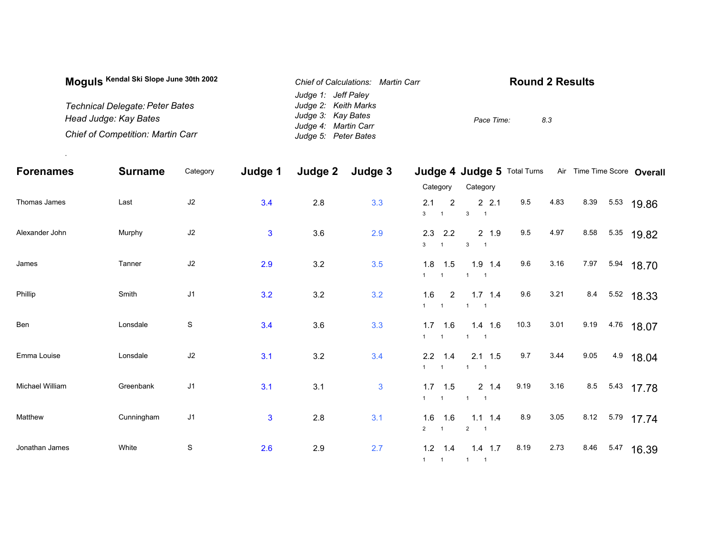| Moquis Kendal Ski Slope June 30th 2002   | Chief of Calculations: Martin Carr | <b>Round 2 Results</b> |
|------------------------------------------|------------------------------------|------------------------|
|                                          | Judge 1: Jeff Paley                |                        |
| Technical Delegate: Peter Bates          | Judge 2: Keith Marks               |                        |
| Head Judge: Kay Bates                    | Judge 3: Kay Bates                 | Pace Time:<br>8.3      |
|                                          | Judge 4: Martin Carr               |                        |
| <b>Chief of Competition: Martin Carr</b> | Judge 5: Peter Bates               |                        |

.

| <b>Forenames</b> | <b>Surname</b> | Category       | Judge 1      | Judge 2 | Judge 3      |                                                | Judge 4 Judge 5 Total Turns                       |      |      | Air Time Time Score Overall |            |  |
|------------------|----------------|----------------|--------------|---------|--------------|------------------------------------------------|---------------------------------------------------|------|------|-----------------------------|------------|--|
|                  |                |                |              |         |              | Category                                       | Category                                          |      |      |                             |            |  |
| Thomas James     | Last           | $\sf J2$       | 3.4          | 2.8     | 3.3          | 2<br>2.1<br>3 <sup>1</sup><br>$\overline{1}$   | 2.2.1<br>$\mathbf{3}$<br>$\overline{\phantom{1}}$ | 9.5  | 4.83 | 8.39                        | 5.53 19.86 |  |
| Alexander John   | Murphy         | $\sf J2$       | $\mathbf{3}$ | 3.6     | 2.9          | 2.3<br>2.2<br>3 <sup>1</sup><br>$\overline{1}$ | 2 1.9<br>$\mathbf{3}$                             | 9.5  | 4.97 | 8.58                        | 5.35 19.82 |  |
| James            | Tanner         | $\sf J2$       | 2.9          | 3.2     | 3.5          | $1.8$ 1.5<br>$1 \quad 1$                       | $1.9$ 1.4<br>$1 \quad 1$                          | 9.6  | 3.16 | 7.97                        | 5.94 18.70 |  |
| Phillip          | Smith          | J <sub>1</sub> | 3.2          | 3.2     | 3.2          | 1.6<br>$\overline{2}$<br>$1 \quad 1$           | $1.7$ 1.4<br>$\overline{1}$                       | 9.6  | 3.21 | 8.4 5.52 18.33              |            |  |
| Ben              | Lonsdale       | $\mathbf S$    | 3.4          | 3.6     | 3.3          | $1.7$ 1.6<br>$1 \quad 1$                       | $1.4$ 1.6<br>$1 \quad 1$                          | 10.3 | 3.01 | 9.19                        | 4.76 18.07 |  |
| Emma Louise      | Lonsdale       | $\sf J2$       | 3.1          | 3.2     | 3.4          | $2.2$ 1.4<br>$1 \quad 1$                       | $2.1$ 1.5<br>$\overline{1}$                       | 9.7  | 3.44 | 9.05                        | 4.9 18.04  |  |
| Michael William  | Greenbank      | J1             | 3.1          | 3.1     | $\mathbf{3}$ | $1.7$ 1.5<br>$1 \quad 1$                       | $2 \t1.4$<br>$1 \quad 1$                          | 9.19 | 3.16 | 8.5                         | 5.43 17.78 |  |
| Matthew          | Cunningham     | J <sub>1</sub> | 3            | 2.8     | 3.1          | $1.6$ 1.6<br>$\overline{2}$<br>$\overline{1}$  | $1.1$ 1.4<br>$2 \qquad 1$                         | 8.9  | 3.05 | 8.12 5.79 17.74             |            |  |
| Jonathan James   | White          | ${\mathbb S}$  | 2.6          | 2.9     | 2.7          | $1.2$ 1.4<br>$1 \quad 1 \quad 1 \quad 1$       | $1.4$ 1.7                                         | 8.19 | 2.73 | 8.46<br>5.47                | 16.39      |  |